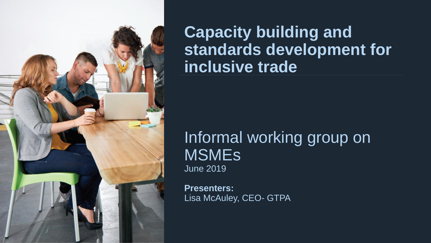

Informal working group on MSMEs June 2019

**Presenters:**  Lisa McAuley, CEO- GTPA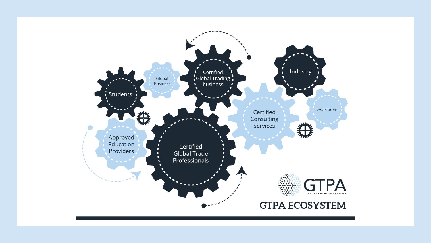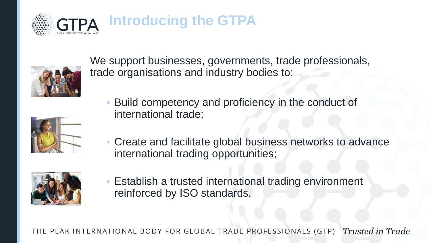



We support businesses, governments, trade professionals, trade organisations and industry bodies to:



- Build competency and proficiency in the conduct of international trade;
- Create and facilitate global business networks to advance international trading opportunities;



**Establish a trusted international trading environment** reinforced by ISO standards.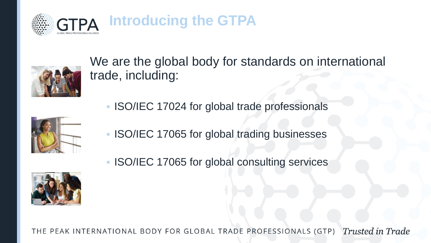



We are the global body for standards on international trade, including:

**ISO/IEC 17024 for global trade professionals** 



- **ISO/IEC 17065 for global trading businesses**
- **ISO/IEC 17065 for global consulting services**

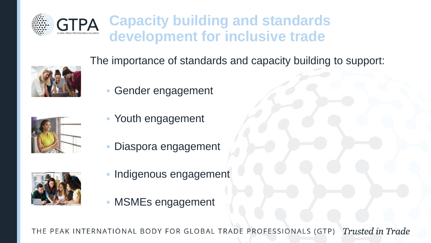

The importance of standards and capacity building to support:



Gender engagement



- Youth engagement
- Diaspora engagement



- **Indigenous engagement**
- MSMEs engagement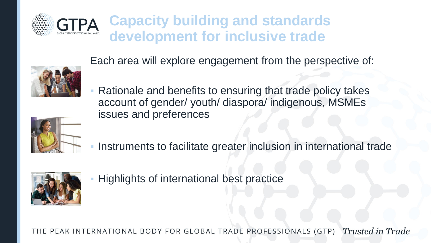

Each area will explore engagement from the perspective of:



 Rationale and benefits to ensuring that trade policy takes account of gender/ youth/ diaspora/ indigenous, MSMEs issues and preferences



Instruments to facilitate greater inclusion in international trade



Highlights of international best practice

**Trusted in Trade** THE PEAK INTERNATIONAL BODY FOR GLOBAL TRADE PROFESSIONALS (GTP)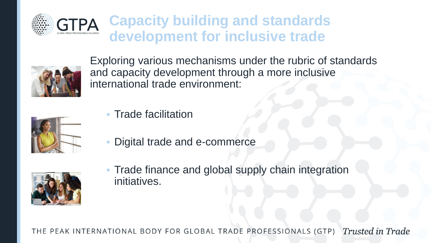



Exploring various mechanisms under the rubric of standards and capacity development through a more inclusive international trade environment:



- **Trade facilitation**
- Digital trade and e-commerce



**Trade finance and global supply chain integration** initiatives.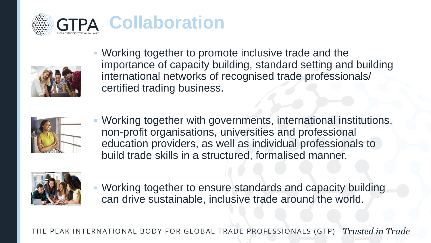



 Working together to promote inclusive trade and the importance of capacity building, standard setting and building international networks of recognised trade professionals/ certified trading business.



 Working together with governments, international institutions, non-profit organisations, universities and professional education providers, as well as individual professionals to build trade skills in a structured, formalised manner.



 Working together to ensure standards and capacity building can drive sustainable, inclusive trade around the world.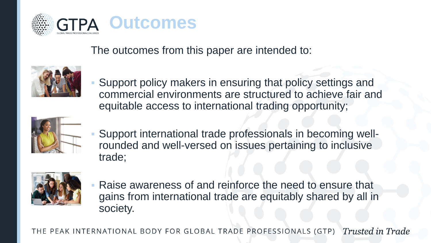

The outcomes from this paper are intended to:



 Support policy makers in ensuring that policy settings and commercial environments are structured to achieve fair and equitable access to international trading opportunity;



 Support international trade professionals in becoming wellrounded and well-versed on issues pertaining to inclusive trade;



 Raise awareness of and reinforce the need to ensure that gains from international trade are equitably shared by all in society.